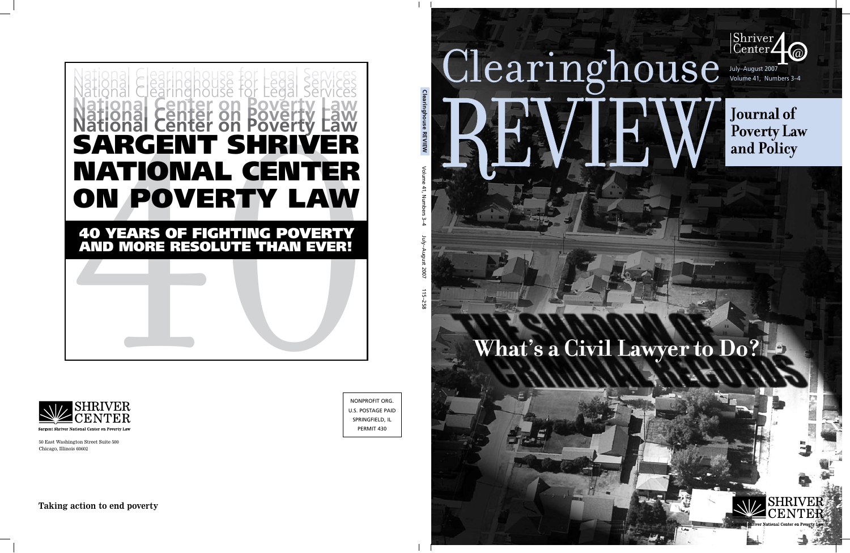

**Journal of Poverty Law** and Policy

# **What's a Civil Lawyer to Do?**

EW

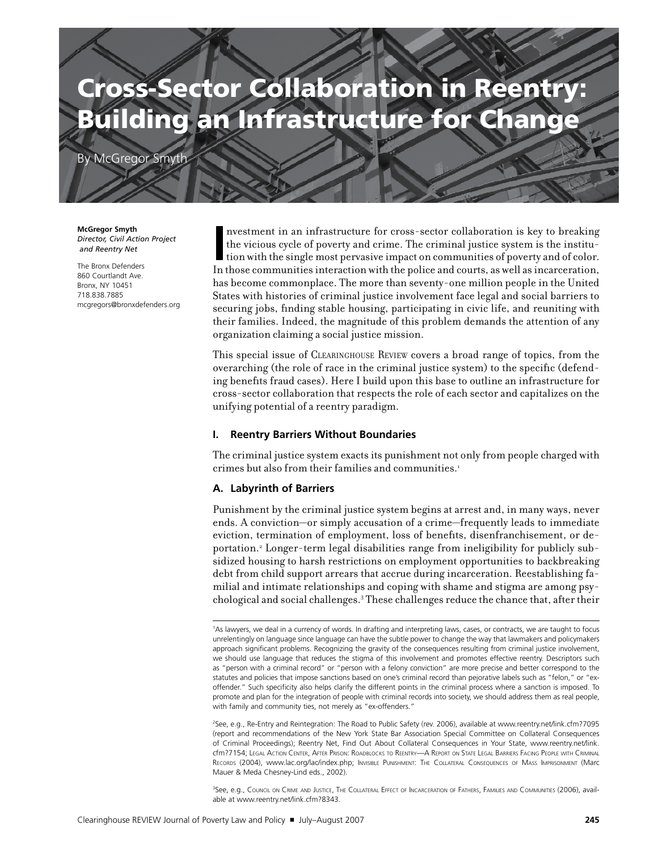# Cross-Sector Collaboration in Reentry: Building an Infrastructure for Change

By McGregor Smyth

**McGregor Smyth** *Director, Civil Action Project and Reentry Net*

The Bronx Defenders 860 Courtlandt Ave. Bronx, NY 10451 718.838.7885 mcgregors@bronxdefenders.org In the victious cycle of poverty and crime. The criminal justice system is the institution with the single most pervasive impact on communities of poverty and of color. In those communities interaction with the police and nvestment in an infrastructure for cross-sector collaboration is key to breaking the vicious cycle of poverty and crime. The criminal justice system is the institution with the single most pervasive impact on communities of poverty and of color. has become commonplace. The more than seventy-one million people in the United States with histories of criminal justice involvement face legal and social barriers to securing jobs, finding stable housing, participating in civic life, and reuniting with their families. Indeed, the magnitude of this problem demands the attention of any organization claiming a social justice mission.

This special issue of Clearinghouse Review covers a broad range of topics, from the overarching (the role of race in the criminal justice system) to the specific (defending benefits fraud cases). Here I build upon this base to outline an infrastructure for cross-sector collaboration that respects the role of each sector and capitalizes on the unifying potential of a reentry paradigm.

#### **I. Reentry Barriers Without Boundaries**

The criminal justice system exacts its punishment not only from people charged with crimes but also from their families and communities.<sup>1</sup>

#### **A. Labyrinth of Barriers**

Punishment by the criminal justice system begins at arrest and, in many ways, never ends. A conviction—or simply accusation of a crime—frequently leads to immediate eviction, termination of employment, loss of benefits, disenfranchisement, or deportation.<sup>2</sup> Longer-term legal disabilities range from ineligibility for publicly subsidized housing to harsh restrictions on employment opportunities to backbreaking debt from child support arrears that accrue during incarceration. Reestablishing familial and intimate relationships and coping with shame and stigma are among psychological and social challenges.3 These challenges reduce the chance that, after their

2 See, e.g., Re-Entry and Reintegration: The Road to Public Safety (rev. 2006), available at www.reentry.net/link.cfm?7095 (report and recommendations of the New York State Bar Association Special Committee on Collateral Consequences of Criminal Proceedings); Reentry Net, Find Out About Collateral Consequences in Your State, www.reentry.net/link. cfm?7154; Legal Action Center, After Prison: Roadblocks to Reentry—A Report on State Legal Barriers Facing People with Criminal Records (2004), www.lac.org/lac/index.php; Invisible Punishment: The Collateral Consequences of Mass Imprisonment (Marc Mauer & Meda Chesney-Lind eds., 2002).

3 See, e.g., Council on Crime and Justice, The Collateral Effect of Incarceration of Fathers, Families and Communities (2006), available at www.reentry.net/link.cfm?8343.

<sup>1</sup> As lawyers, we deal in a currency of words. In drafting and interpreting laws, cases, or contracts, we are taught to focus unrelentingly on language since language can have the subtle power to change the way that lawmakers and policymakers approach significant problems. Recognizing the gravity of the consequences resulting from criminal justice involvement, we should use language that reduces the stigma of this involvement and promotes effective reentry. Descriptors such as "person with a criminal record" or "person with a felony conviction" are more precise and better correspond to the statutes and policies that impose sanctions based on one's criminal record than pejorative labels such as "felon," or "exoffender." Such specificity also helps clarify the different points in the criminal process where a sanction is imposed. To promote and plan for the integration of people with criminal records into society, we should address them as real people, with family and community ties, not merely as "ex-offenders."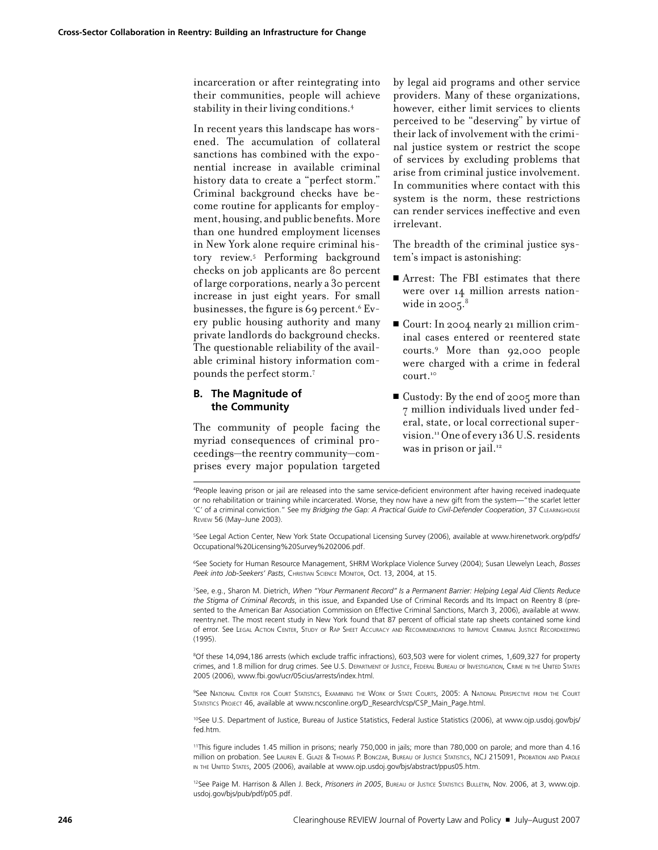incarceration or after reintegrating into their communities, people will achieve stability in their living conditions.4

In recent years this landscape has worsened. The accumulation of collateral sanctions has combined with the exponential increase in available criminal history data to create a "perfect storm." Criminal background checks have become routine for applicants for employment, housing, and public benefits. More than one hundred employment licenses in New York alone require criminal history review.5 Performing background checks on job applicants are 80 percent of large corporations, nearly a 30 percent increase in just eight years. For small businesses, the figure is 69 percent.<sup>6</sup> Every public housing authority and many private landlords do background checks. The questionable reliability of the available criminal history information compounds the perfect storm.7

#### **B. The Magnitude of the Community**

The community of people facing the myriad consequences of criminal proceedings—the reentry community—comprises every major population targeted by legal aid programs and other service providers. Many of these organizations, however, either limit services to clients perceived to be "deserving" by virtue of their lack of involvement with the criminal justice system or restrict the scope of services by excluding problems that arise from criminal justice involvement. In communities where contact with this system is the norm, these restrictions can render services ineffective and even irrelevant.

The breadth of the criminal justice system's impact is astonishing:

- Arrest: The FBI estimates that there were over 14 million arrests nationwide in 2005. $8$
- <sup>n</sup> Court: In 2004 nearly 21 million criminal cases entered or reentered state courts.9 More than 92,000 people were charged with a crime in federal court.<sup>10</sup>
- $\blacksquare$  Custody: By the end of 2005 more than 7 million individuals lived under federal, state, or local correctional supervision.11 One of every 136 U.S. residents was in prison or jail.<sup>12</sup>

4 People leaving prison or jail are released into the same service-deficient environment after having received inadequate or no rehabilitation or training while incarcerated. Worse, they now have a new gift from the system—"the scarlet letter 'C' of a criminal conviction." See my *Bridging the Gap: A Practical Guide to Civil-Defender Cooperation*, 37 Clearinghouse Review 56 (May–June 2003).

5 See Legal Action Center, New York State Occupational Licensing Survey (2006), available at www.hirenetwork.org/pdfs/ Occupational%20Licensing%20Survey%202006.pdf.

6 See Society for Human Resource Management, SHRM Workplace Violence Survey (2004); Susan Llewelyn Leach, *Bosses Peek into Job-Seekers' Pasts*, Christian Science Monitor, Oct. 13, 2004, at 15.

7 See, e.g., Sharon M. Dietrich, *When "Your Permanent Record" Is a Permanent Barrier: Helping Legal Aid Clients Reduce the Stigma of Criminal Records*, in this issue, and Expanded Use of Criminal Records and Its Impact on Reentry 8 (presented to the American Bar Association Commission on Effective Criminal Sanctions, March 3, 2006), available at www. reentry.net. The most recent study in New York found that 87 percent of official state rap sheets contained some kind of error. See Legal Action Center, Study of Rap Sheet Accuracy and Recommendations to Improve Criminal Justice Recordkeeping (1995).

8 Of these 14,094,186 arrests (which exclude traffic infractions), 603,503 were for violent crimes, 1,609,327 for property crimes, and 1.8 million for drug crimes. See U.S. Department of Justice, Federal Bureau of Investigation, Crime in the United States 2005 (2006), www.fbi.gov/ucr/05cius/arrests/index.html.

9 See National Center for Court Statistics, Examining the Work of State Courts, 2005: A National Perspective from the Court STATISTICS PROJECT 46, available at www.ncsconline.org/D\_Research/csp/CSP\_Main\_Page.html.

<sup>10</sup>See U.S. Department of Justice, Bureau of Justice Statistics, Federal Justice Statistics (2006), at www.ojp.usdoj.gov/bjs/ fed.htm.

11This figure includes 1.45 million in prisons; nearly 750,000 in jails; more than 780,000 on parole; and more than 4.16 million on probation. See Lauren E. Glaze & Thomas P. Bonczar, Bureau of Justice Statistics, NCJ 215091, Probation and Parole IN THE UNITED STATES, 2005 (2006), available at www.ojp.usdoj.gov/bjs/abstract/ppus05.htm.

12See Paige M. Harrison & Allen J. Beck, *Prisoners in 2005*, Bureau of Justice Statistics Bulletin, Nov. 2006, at 3, www.ojp. usdoj.gov/bjs/pub/pdf/p05.pdf.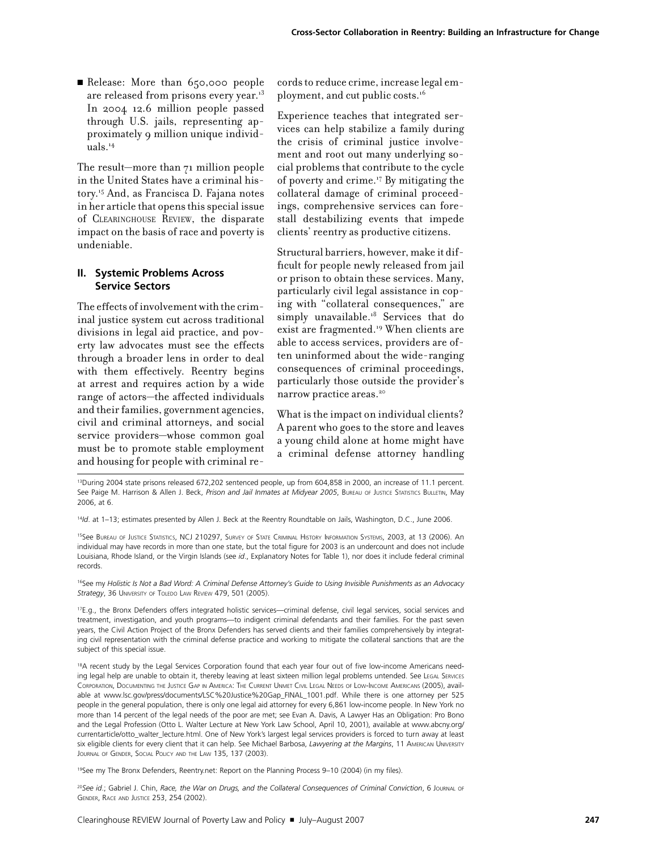Release: More than 650,000 people are released from prisons every year.<sup>13</sup> In 2004 12.6 million people passed through U.S. jails, representing approximately 9 million unique individuals.14

The result—more than 71 million people in the United States have a criminal history.15 And, as Francisca D. Fajana notes in her article that opens this special issue of Clearinghouse Review, the disparate impact on the basis of race and poverty is undeniable.

#### **II. Systemic Problems Across Service Sectors**

The effects of involvement with the criminal justice system cut across traditional divisions in legal aid practice, and poverty law advocates must see the effects through a broader lens in order to deal with them effectively. Reentry begins at arrest and requires action by a wide range of actors—the affected individuals and their families, government agencies, civil and criminal attorneys, and social service providers—whose common goal must be to promote stable employment and housing for people with criminal re-

cords to reduce crime, increase legal employment, and cut public costs.16

Experience teaches that integrated services can help stabilize a family during the crisis of criminal justice involvement and root out many underlying social problems that contribute to the cycle of poverty and crime.17 By mitigating the collateral damage of criminal proceedings, comprehensive services can forestall destabilizing events that impede clients' reentry as productive citizens.

Structural barriers, however, make it difficult for people newly released from jail or prison to obtain these services. Many, particularly civil legal assistance in coping with "collateral consequences," are simply unavailable.<sup>18</sup> Services that do exist are fragmented.<sup>19</sup> When clients are able to access services, providers are often uninformed about the wide-ranging consequences of criminal proceedings, particularly those outside the provider's narrow practice areas.<sup>20</sup>

What is the impact on individual clients? A parent who goes to the store and leaves a young child alone at home might have a criminal defense attorney handling

<sup>13</sup>During 2004 state prisons released 672,202 sentenced people, up from 604,858 in 2000, an increase of 11.1 percent. See Paige M. Harrison & Allen J. Beck, *Prison and Jail Inmates at Midyear 2005*, Bureau of Justice Statistics Bulletin, May 2006, at 6.

15See Bureau of Justice Statistics, NCJ 210297, Survey of State Criminal History Information Systems, 2003, at 13 (2006). An individual may have records in more than one state, but the total figure for 2003 is an undercount and does not include Louisiana, Rhode Island, or the Virgin Islands (see *id*., Explanatory Notes for Table 1), nor does it include federal criminal records.

16See my *Holistic Is Not a Bad Word: A Criminal Defense Attorney's Guide to Using Invisible Punishments as an Advocacy*  Strategy, 36 UNIVERSITY OF TOLEDO LAW REVIEW 479, 501 (2005).

17E.g., the Bronx Defenders offers integrated holistic services—criminal defense, civil legal services, social services and treatment, investigation, and youth programs—to indigent criminal defendants and their families. For the past seven years, the Civil Action Project of the Bronx Defenders has served clients and their families comprehensively by integrating civil representation with the criminal defense practice and working to mitigate the collateral sanctions that are the subject of this special issue.

<sup>18</sup>A recent study by the Legal Services Corporation found that each year four out of five low-income Americans needing legal help are unable to obtain it, thereby leaving at least sixteen million legal problems untended. See Legal Services Corporation, Documenting the Justice Gap in America: The Current Unmet Civil Legal Needs of Low-Income Americans (2005), available at www.lsc.gov/press/documents/LSC%20Justice%20Gap\_FINAL\_1001.pdf. While there is one attorney per 525 people in the general population, there is only one legal aid attorney for every 6,861 low-income people. In New York no more than 14 percent of the legal needs of the poor are met; see Evan A. Davis, A Lawyer Has an Obligation: Pro Bono and the Legal Profession (Otto L. Walter Lecture at New York Law School, April 10, 2001), available at www.abcny.org/ currentarticle/otto\_walter\_lecture.html. One of New York's largest legal services providers is forced to turn away at least six eligible clients for every client that it can help. See Michael Barbosa, *Lawyering at the Margins*, 11 American University JOURNAL OF GENDER, SOCIAL POLICY AND THE LAW 135, 137 (2003).

19See my The Bronx Defenders, Reentry.net: Report on the Planning Process 9–10 (2004) (in my files).

<sup>20</sup>*See id*.; Gabriel J. Chin, *Race, the War on Drugs, and the Collateral Consequences of Criminal Conviction*, 6 Journal of Gender, Race and Justice 253, 254 (2002).

<sup>14</sup>*Id*. at 1–13; estimates presented by Allen J. Beck at the Reentry Roundtable on Jails, Washington, D.C., June 2006.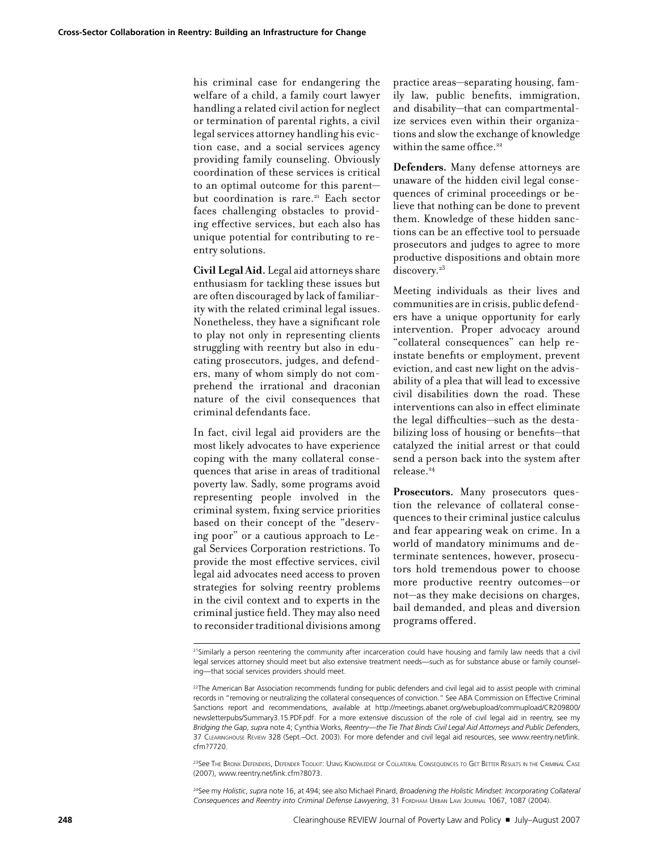his criminal case for endangering the welfare of a child, a family court lawyer handling a related civil action for neglect or termination of parental rights, a civil legal services attorney handling his eviction case, and a social services agency providing family counseling. Obviously coordination of these services is critical to an optimal outcome for this parent but coordination is rare.<sup>21</sup> Each sector faces challenging obstacles to providing effective services, but each also has unique potential for contributing to reentry solutions.

**Civil Legal Aid.** Legal aid attorneys share enthusiasm for tackling these issues but are often discouraged by lack of familiarity with the related criminal legal issues. Nonetheless, they have a significant role to play not only in representing clients struggling with reentry but also in educating prosecutors, judges, and defenders, many of whom simply do not comprehend the irrational and draconian nature of the civil consequences that criminal defendants face.

In fact, civil legal aid providers are the most likely advocates to have experience coping with the many collateral consequences that arise in areas of traditional poverty law. Sadly, some programs avoid representing people involved in the criminal system, fixing service priorities based on their concept of the "deserving poor" or a cautious approach to Legal Services Corporation restrictions. To provide the most effective services, civil legal aid advocates need access to proven strategies for solving reentry problems in the civil context and to experts in the criminal justice field. They may also need to reconsider traditional divisions among practice areas—separating housing, family law, public benefits, immigration, and disability—that can compartmentalize services even within their organizations and slow the exchange of knowledge within the same office.<sup>22</sup>

**Defenders.** Many defense attorneys are unaware of the hidden civil legal consequences of criminal proceedings or believe that nothing can be done to prevent them. Knowledge of these hidden sanctions can be an effective tool to persuade prosecutors and judges to agree to more productive dispositions and obtain more discovery.<sup>23</sup>

Meeting individuals as their lives and communities are in crisis, public defenders have a unique opportunity for early intervention. Proper advocacy around "collateral consequences" can help reinstate benefits or employment, prevent eviction, and cast new light on the advisability of a plea that will lead to excessive civil disabilities down the road. These interventions can also in effect eliminate the legal difficulties—such as the destabilizing loss of housing or benefits—that catalyzed the initial arrest or that could send a person back into the system after release.24

**Prosecutors.** Many prosecutors question the relevance of collateral consequences to their criminal justice calculus and fear appearing weak on crime. In a world of mandatory minimums and determinate sentences, however, prosecutors hold tremendous power to choose more productive reentry outcomes—or not—as they make decisions on charges, bail demanded, and pleas and diversion programs offered.

23See The Bronx Defenders, Defender Toolkit: Using Knowledge of Collateral Consequences to Get Better Results in the Criminal Case (2007), www.reentry.net/link.cfm?8073.

24See my *Holistic*, *supra* note 16, at 494; see also Michael Pinard, *Broadening the Holistic Mindset: Incorporating Collateral Consequences and Reentry into Criminal Defense Lawyering*, 31 Fordham Urban Law Journal 1067, 1087 (2004).

 $21$ Similarly a person reentering the community after incarceration could have housing and family law needs that a civil legal services attorney should meet but also extensive treatment needs—such as for substance abuse or family counseling—that social services providers should meet.

 $^{22}$ The American Bar Association recommends funding for public defenders and civil legal aid to assist people with criminal records in "removing or neutralizing the collateral consequences of conviction." See ABA Commission on Effective Criminal Sanctions report and recommendations, available at http://meetings.abanet.org/webupload/commupload/CR209800/ newsletterpubs/Summary3.15.PDF.pdf. For a more extensive discussion of the role of civil legal aid in reentry, see my *Bridging the Gap*, *supra* note 4; Cynthia Works, *Reentry—the Tie That Binds Civil Legal Aid Attorneys and Public Defenders*, 37 Clearinghouse Review 328 (Sept.–Oct. 2003). For more defender and civil legal aid resources, see www.reentry.net/link. cfm?7720.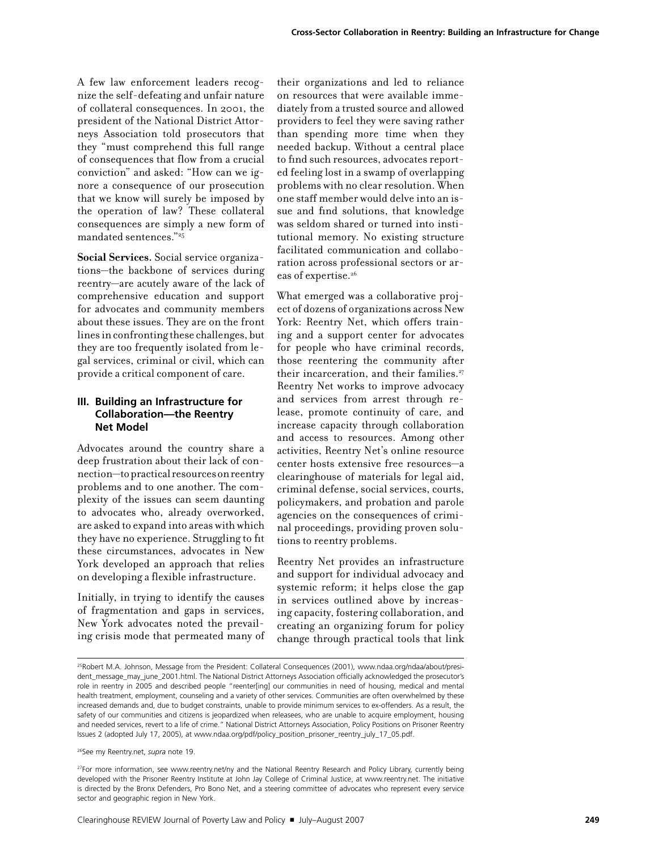A few law enforcement leaders recognize the self-defeating and unfair nature of collateral consequences. In 2001, the president of the National District Attorneys Association told prosecutors that they "must comprehend this full range of consequences that flow from a crucial conviction" and asked: "How can we ignore a consequence of our prosecution that we know will surely be imposed by the operation of law? These collateral consequences are simply a new form of mandated sentences."25

**Social Services.** Social service organizations—the backbone of services during reentry—are acutely aware of the lack of comprehensive education and support for advocates and community members about these issues. They are on the front lines in confronting these challenges, but they are too frequently isolated from legal services, criminal or civil, which can provide a critical component of care.

#### **III. Building an Infrastructure for Collaboration—the Reentry Net Model**

Advocates around the country share a deep frustration about their lack of connection—to practical resources on reentry problems and to one another. The complexity of the issues can seem daunting to advocates who, already overworked, are asked to expand into areas with which they have no experience. Struggling to fit these circumstances, advocates in New York developed an approach that relies on developing a flexible infrastructure.

Initially, in trying to identify the causes of fragmentation and gaps in services, New York advocates noted the prevailing crisis mode that permeated many of their organizations and led to reliance on resources that were available immediately from a trusted source and allowed providers to feel they were saving rather than spending more time when they needed backup. Without a central place to find such resources, advocates reported feeling lost in a swamp of overlapping problems with no clear resolution. When one staff member would delve into an issue and find solutions, that knowledge was seldom shared or turned into institutional memory. No existing structure facilitated communication and collaboration across professional sectors or areas of expertise.<sup>26</sup>

What emerged was a collaborative project of dozens of organizations across New York: Reentry Net, which offers training and a support center for advocates for people who have criminal records, those reentering the community after their incarceration, and their families.<sup>27</sup> Reentry Net works to improve advocacy and services from arrest through release, promote continuity of care, and increase capacity through collaboration and access to resources. Among other activities, Reentry Net's online resource center hosts extensive free resources—a clearinghouse of materials for legal aid, criminal defense, social services, courts, policymakers, and probation and parole agencies on the consequences of criminal proceedings, providing proven solutions to reentry problems.

Reentry Net provides an infrastructure and support for individual advocacy and systemic reform; it helps close the gap in services outlined above by increasing capacity, fostering collaboration, and creating an organizing forum for policy change through practical tools that link

26See my Reentry.net, *supra* note 19.

<sup>&</sup>lt;sup>25</sup>Robert M.A. Johnson, Message from the President: Collateral Consequences (2001), www.ndaa.org/ndaa/about/president\_message\_may\_june\_2001.html. The National District Attorneys Association officially acknowledged the prosecutor's role in reentry in 2005 and described people "reenter[ing] our communities in need of housing, medical and mental health treatment, employment, counseling and a variety of other services. Communities are often overwhelmed by these increased demands and, due to budget constraints, unable to provide minimum services to ex-offenders. As a result, the safety of our communities and citizens is jeopardized when releasees, who are unable to acquire employment, housing and needed services, revert to a life of crime." National District Attorneys Association, Policy Positions on Prisoner Reentry Issues 2 (adopted July 17, 2005), at www.ndaa.org/pdf/policy\_position\_prisoner\_reentry\_july\_17\_05.pdf.

<sup>&</sup>lt;sup>27</sup>For more information, see www.reentry.net/ny and the National Reentry Research and Policy Library, currently being developed with the Prisoner Reentry Institute at John Jay College of Criminal Justice, at www.reentry.net. The initiative is directed by the Bronx Defenders, Pro Bono Net, and a steering committee of advocates who represent every service sector and geographic region in New York.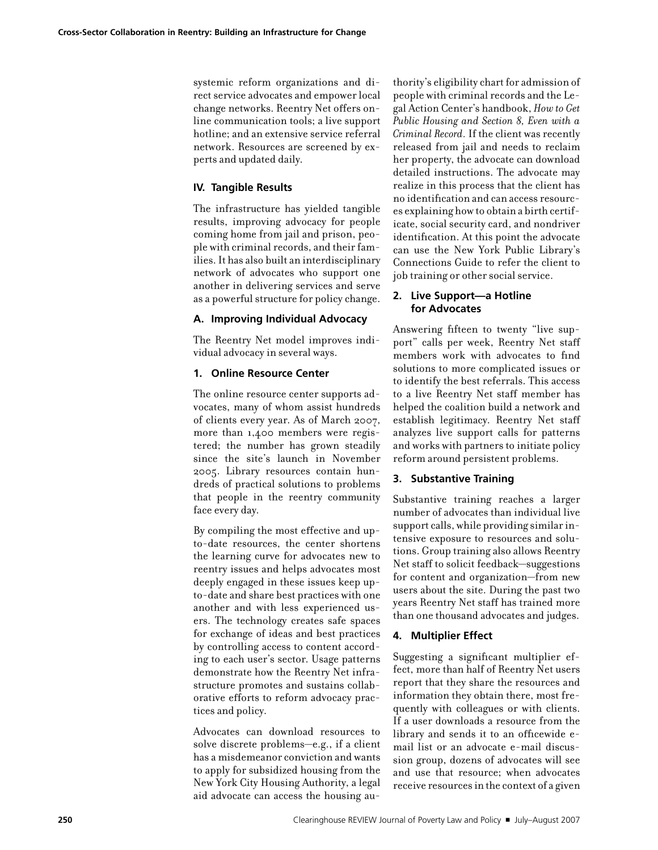systemic reform organizations and direct service advocates and empower local change networks. Reentry Net offers online communication tools; a live support hotline; and an extensive service referral network. Resources are screened by experts and updated daily.

#### **IV. Tangible Results**

The infrastructure has yielded tangible results, improving advocacy for people coming home from jail and prison, people with criminal records, and their families. It has also built an interdisciplinary network of advocates who support one another in delivering services and serve as a powerful structure for policy change.

#### **A. Improving Individual Advocacy**

The Reentry Net model improves individual advocacy in several ways.

#### **1. Online Resource Center**

The online resource center supports advocates, many of whom assist hundreds of clients every year. As of March 2007, more than 1,400 members were registered; the number has grown steadily since the site's launch in November 2005. Library resources contain hundreds of practical solutions to problems that people in the reentry community face every day.

By compiling the most effective and upto-date resources, the center shortens the learning curve for advocates new to reentry issues and helps advocates most deeply engaged in these issues keep upto-date and share best practices with one another and with less experienced users. The technology creates safe spaces for exchange of ideas and best practices by controlling access to content according to each user's sector. Usage patterns demonstrate how the Reentry Net infrastructure promotes and sustains collaborative efforts to reform advocacy practices and policy.

Advocates can download resources to solve discrete problems—e.g., if a client has a misdemeanor conviction and wants to apply for subsidized housing from the New York City Housing Authority, a legal aid advocate can access the housing authority's eligibility chart for admission of people with criminal records and the Legal Action Center's handbook, *How to Get Public Housing and Section 8, Even with a Criminal Record.* If the client was recently released from jail and needs to reclaim her property, the advocate can download detailed instructions. The advocate may realize in this process that the client has no identification and can access resources explaining how to obtain a birth certificate, social security card, and nondriver identification. At this point the advocate can use the New York Public Library's Connections Guide to refer the client to job training or other social service.

#### **2. Live Support—a Hotline for Advocates**

Answering fifteen to twenty "live support" calls per week, Reentry Net staff members work with advocates to find solutions to more complicated issues or to identify the best referrals. This access to a live Reentry Net staff member has helped the coalition build a network and establish legitimacy. Reentry Net staff analyzes live support calls for patterns and works with partners to initiate policy reform around persistent problems.

#### **3. Substantive Training**

Substantive training reaches a larger number of advocates than individual live support calls, while providing similar intensive exposure to resources and solutions. Group training also allows Reentry Net staff to solicit feedback—suggestions for content and organization—from new users about the site. During the past two years Reentry Net staff has trained more than one thousand advocates and judges.

#### **4. Multiplier Effect**

Suggesting a significant multiplier effect, more than half of Reentry Net users report that they share the resources and information they obtain there, most frequently with colleagues or with clients. If a user downloads a resource from the library and sends it to an officewide email list or an advocate e-mail discussion group, dozens of advocates will see and use that resource; when advocates receive resources in the context of a given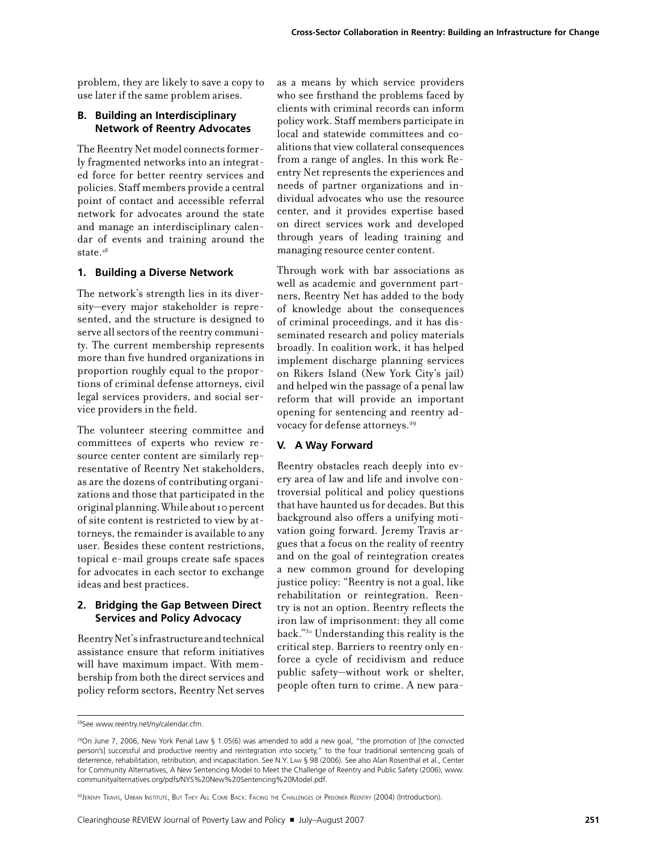problem, they are likely to save a copy to use later if the same problem arises.

#### **B. Building an Interdisciplinary Network of Reentry Advocates**

The Reentry Net model connects formerly fragmented networks into an integrated force for better reentry services and policies. Staff members provide a central point of contact and accessible referral network for advocates around the state and manage an interdisciplinary calendar of events and training around the state. $28$ 

#### **1. Building a Diverse Network**

The network's strength lies in its diversity—every major stakeholder is represented, and the structure is designed to serve all sectors of the reentry community. The current membership represents more than five hundred organizations in proportion roughly equal to the proportions of criminal defense attorneys, civil legal services providers, and social service providers in the field.

The volunteer steering committee and committees of experts who review resource center content are similarly representative of Reentry Net stakeholders, as are the dozens of contributing organizations and those that participated in the original planning. While about 10 percent of site content is restricted to view by attorneys, the remainder is available to any user. Besides these content restrictions, topical e-mail groups create safe spaces for advocates in each sector to exchange ideas and best practices.

#### **2. Bridging the Gap Between Direct Services and Policy Advocacy**

Reentry Net's infrastructure and technical assistance ensure that reform initiatives will have maximum impact. With membership from both the direct services and policy reform sectors, Reentry Net serves as a means by which service providers who see firsthand the problems faced by clients with criminal records can inform policy work. Staff members participate in local and statewide committees and coalitions that view collateral consequences from a range of angles. In this work Reentry Net represents the experiences and needs of partner organizations and individual advocates who use the resource center, and it provides expertise based on direct services work and developed through years of leading training and managing resource center content.

Through work with bar associations as well as academic and government partners, Reentry Net has added to the body of knowledge about the consequences of criminal proceedings, and it has disseminated research and policy materials broadly. In coalition work, it has helped implement discharge planning services on Rikers Island (New York City's jail) and helped win the passage of a penal law reform that will provide an important opening for sentencing and reentry advocacy for defense attorneys.<sup>29</sup>

#### **V. A Way Forward**

Reentry obstacles reach deeply into every area of law and life and involve controversial political and policy questions that have haunted us for decades. But this background also offers a unifying motivation going forward. Jeremy Travis argues that a focus on the reality of reentry and on the goal of reintegration creates a new common ground for developing justice policy: "Reentry is not a goal, like rehabilitation or reintegration. Reentry is not an option. Reentry reflects the iron law of imprisonment: they all come back."30 Understanding this reality is the critical step. Barriers to reentry only enforce a cycle of recidivism and reduce public safety—without work or shelter, people often turn to crime. A new para-

30 JEREMY TRAVIS, URBAN INSTITUTE, BUT THEY ALL COME BACK: FACING THE CHALLENGES OF PRISONER REENTRY (2004) (Introduction).

<sup>28</sup>See www.reentry.net/ny/calendar.cfm.

 $29$ On June 7, 2006, New York Penal Law § 1.05(6) was amended to add a new goal, "the promotion of [the convicted person's] successful and productive reentry and reintegration into society," to the four traditional sentencing goals of deterrence, rehabilitation, retribution, and incapacitation. See N.Y. Law § 98 (2006). See also Alan Rosenthal et al., Center for Community Alternatives, A New Sentencing Model to Meet the Challenge of Reentry and Public Safety (2006), www. communityalternatives.org/pdfs/NYS%20New%20Sentencing%20Model.pdf.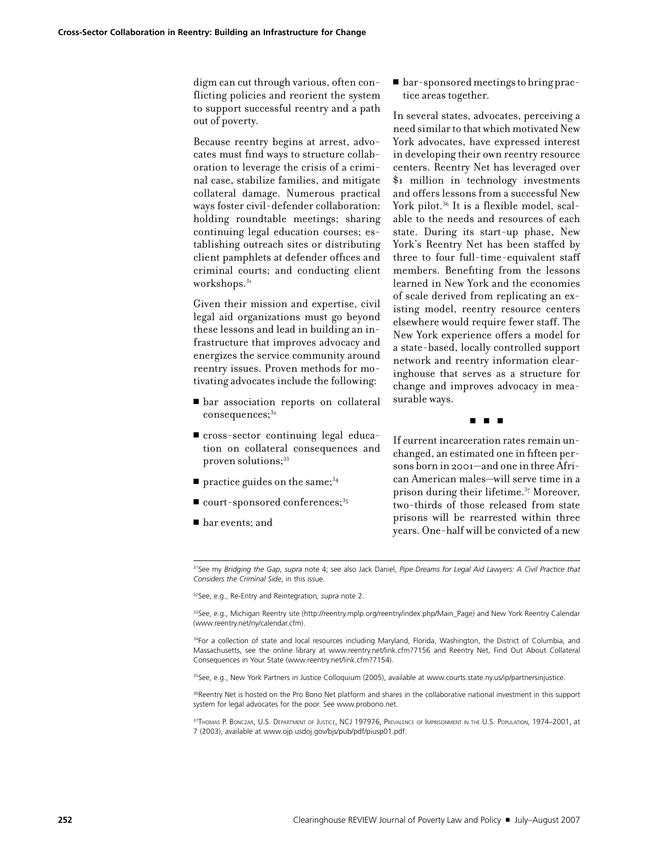digm can cut through various, often conflicting policies and reorient the system to support successful reentry and a path out of poverty.

Because reentry begins at arrest, advocates must find ways to structure collaboration to leverage the crisis of a criminal case, stabilize families, and mitigate collateral damage. Numerous practical ways foster civil-defender collaboration: holding roundtable meetings; sharing continuing legal education courses; establishing outreach sites or distributing client pamphlets at defender offices and criminal courts; and conducting client workshops.<sup>31</sup>

Given their mission and expertise, civil legal aid organizations must go beyond these lessons and lead in building an infrastructure that improves advocacy and energizes the service community around reentry issues. Proven methods for motivating advocates include the following:

- <sup>n</sup> bar association reports on collateral  $consequences; <sup>32</sup>$
- <sup>n</sup> cross-sector continuing legal education on collateral consequences and proven solutions;<sup>33</sup>
- $\blacksquare$  practice guides on the same;<sup>34</sup>
- $\blacksquare$  court-sponsored conferences;<sup>35</sup>
- $\blacksquare$  bar events; and

■ bar-sponsored meetings to bring practice areas together.

In several states, advocates, perceiving a need similar to that which motivated New York advocates, have expressed interest in developing their own reentry resource centers. Reentry Net has leveraged over \$1 million in technology investments and offers lessons from a successful New York pilot.<sup>36</sup> It is a flexible model, scalable to the needs and resources of each state. During its start-up phase, New York's Reentry Net has been staffed by three to four full-time-equivalent staff members. Benefiting from the lessons learned in New York and the economies of scale derived from replicating an existing model, reentry resource centers elsewhere would require fewer staff. The New York experience offers a model for a state-based, locally controlled support network and reentry information clearinghouse that serves as a structure for change and improves advocacy in measurable ways.

#### ■ ■ ■

If current incarceration rates remain unchanged, an estimated one in fifteen persons born in 2001—and one in three African American males—will serve time in a prison during their lifetime.37 Moreover, two-thirds of those released from state prisons will be rearrested within three years. One-half will be convicted of a new

31See my *Bridging the Gap*, *supra* note 4; see also Jack Daniel, *Pipe Dreams for Legal Aid Lawyers: A Civil Practice that Considers the Criminal Side*, in this issue*.*

32See, e.g., Re-Entry and Reintegration*, supra* note 2.

33See, e.g., Michigan Reentry site (http://reentry.mplp.org/reentry/index.php/Main\_Page) and New York Reentry Calendar (www.reentry.net/ny/calendar.cfm).

34For a collection of state and local resources including Maryland, Florida, Washington, the District of Columbia, and Massachusetts, see the online library at www.reentry.net/link.cfm?7156 and Reentry Net, Find Out About Collateral Consequences in Your State (www.reentry.net/link.cfm?7154).

<sup>35</sup>See, e.g., New York Partners in Justice Colloquium (2005), available at www.courts.state.ny.us/ip/partnersinjustice.

<sup>36</sup>Reentry Net is hosted on the Pro Bono Net platform and shares in the collaborative national investment in this support system for legal advocates for the poor. See www.probono.net.

37THOMAS P. BONCZAR, U.S. DEPARTMENT OF JUSTICE, NCJ 197976, PREVALENCE OF IMPRISONMENT IN THE U.S. POPULATION, 1974–2001, at 7 (2003), available at www.ojp.usdoj.gov/bjs/pub/pdf/piusp01.pdf.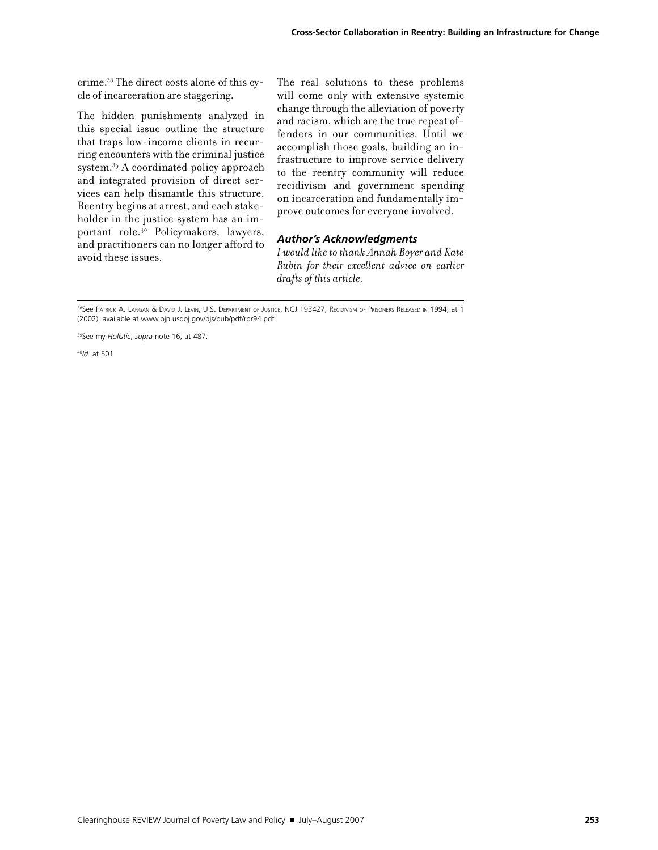crime.38 The direct costs alone of this cycle of incarceration are staggering.

The hidden punishments analyzed in this special issue outline the structure that traps low-income clients in recurring encounters with the criminal justice system.39 A coordinated policy approach and integrated provision of direct services can help dismantle this structure. Reentry begins at arrest, and each stakeholder in the justice system has an important role.40 Policymakers, lawyers, and practitioners can no longer afford to avoid these issues.

The real solutions to these problems will come only with extensive systemic change through the alleviation of poverty and racism, which are the true repeat offenders in our communities. Until we accomplish those goals, building an infrastructure to improve service delivery to the reentry community will reduce recidivism and government spending on incarceration and fundamentally improve outcomes for everyone involved.

#### *Author's Acknowledgments*

*I would like to thank Annah Boyer and Kate Rubin for their excellent advice on earlier drafts of this article.*

<sup>40</sup>*Id*. at 501

<sup>&</sup>lt;sup>38</sup>See Patrick A. Langan & David J. Levin, U.S. Department of Justice, NCJ 193427, Recidivism of Prisoners Released in 1994, at 1 (2002), available at www.ojp.usdoj.gov/bjs/pub/pdf/rpr94.pdf.

<sup>39</sup>See my *Holistic*, *supra* note 16, at 487.